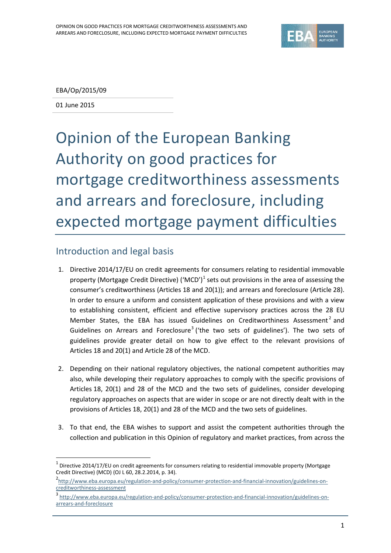

EBA/Op/2015/09

01 June 2015

 $\overline{a}$ 

# Opinion of the European Banking Authority on good practices for mortgage creditworthiness assessments and arrears and foreclosure, including expected mortgage payment difficulties

## Introduction and legal basis

- 1. Directive 2014/17/EU on credit agreements for consumers relating to residential immovable property (Mortgage Credit Directive) ('MCD')<sup>[1](#page-0-0)</sup> sets out provisions in the area of assessing the consumer's creditworthiness (Articles 18 and 20(1)); and arrears and foreclosure (Article 28). In order to ensure a uniform and consistent application of these provisions and with a view to establishing consistent, efficient and effective supervisory practices across the 28 EU Member States, the EBA has issued Guidelines on Creditworthiness Assessment<sup>[2](#page-0-1)</sup> and Guidelines on Arrears and Foreclosure<sup>[3](#page-0-2)</sup> ('the two sets of guidelines'). The two sets of guidelines provide greater detail on how to give effect to the relevant provisions of Articles 18 and 20(1) and Article 28 of the MCD.
- 2. Depending on their national regulatory objectives, the national competent authorities may also, while developing their regulatory approaches to comply with the specific provisions of Articles 18, 20(1) and 28 of the MCD and the two sets of guidelines, consider developing regulatory approaches on aspects that are wider in scope or are not directly dealt with in the provisions of Articles 18, 20(1) and 28 of the MCD and the two sets of guidelines.
- 3. To that end, the EBA wishes to support and assist the competent authorities through the collection and publication in this Opinion of regulatory and market practices, from across the

<span id="page-0-0"></span> $1$  Directive 2014/17/EU on credit agreements for consumers relating to residential immovable property (Mortgage Credit Directive) (MCD) (OJ L 60, 28.2.2014, p. 34).

<span id="page-0-1"></span><sup>2&</sup>lt;br>[http://www.eba.europa.eu/regulation-and-policy/consumer-protection-and-financial-innovation/guidelines-on](http://www.eba.europa.eu/regulation-and-policy/consumer-protection-and-financial-innovation/guidelines-on-creditworthiness-assessment)[creditworthiness-assessment](http://www.eba.europa.eu/regulation-and-policy/consumer-protection-and-financial-innovation/guidelines-on-creditworthiness-assessment)

<span id="page-0-2"></span><sup>&</sup>lt;sup>3</sup> [http://www.eba.europa.eu/regulation-and-policy/consumer-protection-and-financial-innovation/guidelines-on](http://www.eba.europa.eu/regulation-and-policy/consumer-protection-and-financial-innovation/guidelines-on-arrears-and-foreclosure)[arrears-and-foreclosure](http://www.eba.europa.eu/regulation-and-policy/consumer-protection-and-financial-innovation/guidelines-on-arrears-and-foreclosure)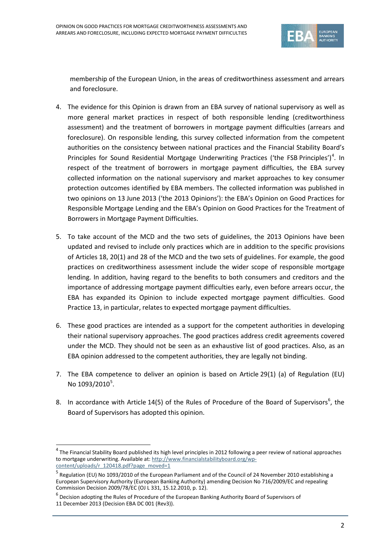

membership of the European Union, in the areas of creditworthiness assessment and arrears and foreclosure.

- 4. The evidence for this Opinion is drawn from an EBA survey of national supervisory as well as more general market practices in respect of both responsible lending (creditworthiness assessment) and the treatment of borrowers in mortgage payment difficulties (arrears and foreclosure). On responsible lending, this survey collected information from the competent authorities on the consistency between national practices and the Financial Stability Board's Principles for Sound Residential Mortgage Underwriting Practices ('the FSB Principles')<sup>[4](#page-1-0)</sup>. In respect of the treatment of borrowers in mortgage payment difficulties, the EBA survey collected information on the national supervisory and market approaches to key consumer protection outcomes identified by EBA members. The collected information was published in two opinions on 13 June 2013 ('the 2013 Opinions'): the EBA's Opinion on Good Practices for Responsible Mortgage Lending and the EBA's Opinion on Good Practices for the Treatment of Borrowers in Mortgage Payment Difficulties.
- 5. To take account of the MCD and the two sets of guidelines, the 2013 Opinions have been updated and revised to include only practices which are in addition to the specific provisions of Articles 18, 20(1) and 28 of the MCD and the two sets of guidelines. For example, the good practices on creditworthiness assessment include the wider scope of responsible mortgage lending. In addition, having regard to the benefits to both consumers and creditors and the importance of addressing mortgage payment difficulties early, even before arrears occur, the EBA has expanded its Opinion to include expected mortgage payment difficulties. Good Practice 13, in particular, relates to expected mortgage payment difficulties.
- 6. These good practices are intended as a support for the competent authorities in developing their national supervisory approaches. The good practices address credit agreements covered under the MCD. They should not be seen as an exhaustive list of good practices. Also, as an EBA opinion addressed to the competent authorities, they are legally not binding.
- 7. The EBA competence to deliver an opinion is based on Article 29(1) (a) of Regulation (EU) No 1093/2010<sup>[5](#page-1-1)</sup>.
- 8. In accordance with Article 14(5) of the Rules of Procedure of the Board of Supervisors<sup>[6](#page-1-2)</sup>, the Board of Supervisors has adopted this opinion.

 $\overline{a}$ 

<span id="page-1-0"></span> $4$  The Financial Stability Board published its high level principles in 2012 following a peer review of national approaches to mortgage underwriting. Available at: [http://www.financialstabilityboard.org/wp](http://www.financialstabilityboard.org/wp-content/uploads/r_120418.pdf?page_moved=1)[content/uploads/r\\_120418.pdf?page\\_moved=1](http://www.financialstabilityboard.org/wp-content/uploads/r_120418.pdf?page_moved=1)

<span id="page-1-1"></span><sup>&</sup>lt;sup>5</sup> Regulation (EU) No 1093/2010 of the European Parliament and of the Council of 24 November 2010 establishing a European Supervisory Authority (European Banking Authority) amending Decision No 716/2009/EC and repealing Commission Decision 2009/78/EC (OJ L 331, 15.12.2010, p. 12).

<span id="page-1-2"></span> $^6$  Decision adopting the Rules of Procedure of the European Banking Authority Board of Supervisors of 11 December 2013 (Decision EBA DC 001 (Rev3)).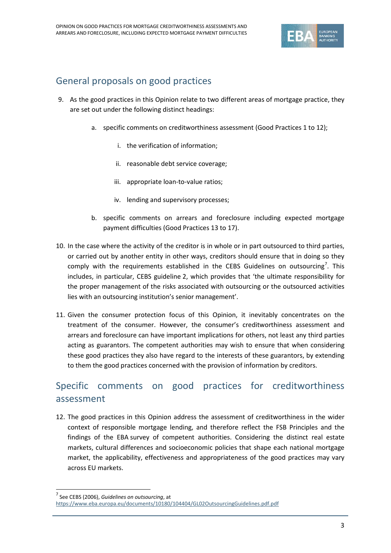

# General proposals on good practices

- 9. As the good practices in this Opinion relate to two different areas of mortgage practice, they are set out under the following distinct headings:
	- a. specific comments on creditworthiness assessment (Good Practices 1 to 12);
		- i. the verification of information;
		- ii. reasonable debt service coverage;
		- iii. appropriate loan-to-value ratios;
		- iv. lending and supervisory processes;
	- b. specific comments on arrears and foreclosure including expected mortgage payment difficulties (Good Practices 13 to 17).
- 10. In the case where the activity of the creditor is in whole or in part outsourced to third parties, or carried out by another entity in other ways, creditors should ensure that in doing so they comply with the requirements established in the CEBS Guidelines on outsourcing<sup>[7](#page-2-0)</sup>. This includes, in particular, CEBS guideline 2, which provides that 'the ultimate responsibility for the proper management of the risks associated with outsourcing or the outsourced activities lies with an outsourcing institution's senior management'.
- 11. Given the consumer protection focus of this Opinion, it inevitably concentrates on the treatment of the consumer. However, the consumer's creditworthiness assessment and arrears and foreclosure can have important implications for others, not least any third parties acting as guarantors. The competent authorities may wish to ensure that when considering these good practices they also have regard to the interests of these guarantors, by extending to them the good practices concerned with the provision of information by creditors.

# Specific comments on good practices for creditworthiness assessment

12. The good practices in this Opinion address the assessment of creditworthiness in the wider context of responsible mortgage lending, and therefore reflect the FSB Principles and the findings of the EBA survey of competent authorities. Considering the distinct real estate markets, cultural differences and socioeconomic policies that shape each national mortgage market, the applicability, effectiveness and appropriateness of the good practices may vary across EU markets.

 $\overline{a}$ 

<span id="page-2-0"></span><sup>7</sup> See CEBS (2006), *Guidelines on outsourcing*, at

<https://www.eba.europa.eu/documents/10180/104404/GL02OutsourcingGuidelines.pdf.pdf>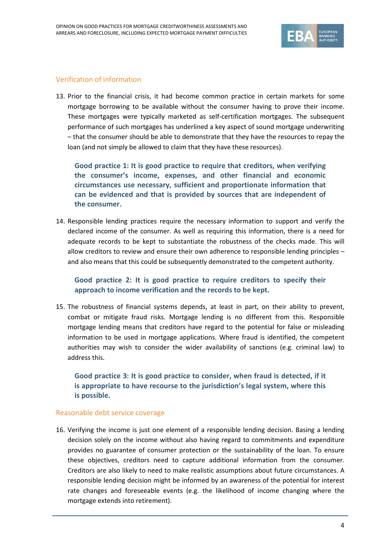

## Verification of information

13. Prior to the financial crisis, it had become common practice in certain markets for some mortgage borrowing to be available without the consumer having to prove their income. These mortgages were typically marketed as self-certification mortgages. The subsequent performance of such mortgages has underlined a key aspect of sound mortgage underwriting – that the consumer should be able to demonstrate that they have the resources to repay the loan (and not simply be allowed to claim that they have these resources).

**Good practice 1: It is good practice to require that creditors, when verifying the consumer's income, expenses, and other financial and economic circumstances use necessary, sufficient and proportionate information that can be evidenced and that is provided by sources that are independent of the consumer.**

14. Responsible lending practices require the necessary information to support and verify the declared income of the consumer. As well as requiring this information, there is a need for adequate records to be kept to substantiate the robustness of the checks made. This will allow creditors to review and ensure their own adherence to responsible lending principles – and also means that this could be subsequently demonstrated to the competent authority.

**Good practice 2: It is good practice to require creditors to specify their approach to income verification and the records to be kept.**

15. The robustness of financial systems depends, at least in part, on their ability to prevent, combat or mitigate fraud risks. Mortgage lending is no different from this. Responsible mortgage lending means that creditors have regard to the potential for false or misleading information to be used in mortgage applications. Where fraud is identified, the competent authorities may wish to consider the wider availability of sanctions (e.g. criminal law) to address this.

**Good practice 3: It is good practice to consider, when fraud is detected, if it is appropriate to have recourse to the jurisdiction's legal system, where this is possible.**

## Reasonable debt service coverage

16. Verifying the income is just one element of a responsible lending decision. Basing a lending decision solely on the income without also having regard to commitments and expenditure provides no guarantee of consumer protection or the sustainability of the loan. To ensure these objectives, creditors need to capture additional information from the consumer. Creditors are also likely to need to make realistic assumptions about future circumstances. A responsible lending decision might be informed by an awareness of the potential for interest rate changes and foreseeable events (e.g. the likelihood of income changing where the mortgage extends into retirement).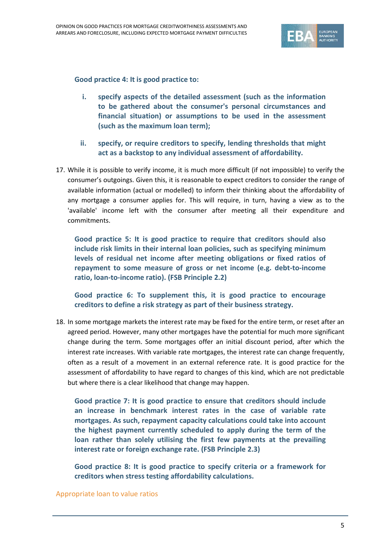

**Good practice 4: It is good practice to:**

- **i. specify aspects of the detailed assessment (such as the information to be gathered about the consumer's personal circumstances and financial situation) or assumptions to be used in the assessment (such as the maximum loan term);**
- **ii. specify, or require creditors to specify, lending thresholds that might act as a backstop to any individual assessment of affordability.**
- 17. While it is possible to verify income, it is much more difficult (if not impossible) to verify the consumer's outgoings. Given this, it is reasonable to expect creditors to consider the range of available information (actual or modelled) to inform their thinking about the affordability of any mortgage a consumer applies for. This will require, in turn, having a view as to the 'available' income left with the consumer after meeting all their expenditure and commitments.

**Good practice 5: It is good practice to require that creditors should also include risk limits in their internal loan policies, such as specifying minimum levels of residual net income after meeting obligations or fixed ratios of repayment to some measure of gross or net income (e.g. debt-to-income ratio, loan-to-income ratio). (FSB Principle 2.2)**

**Good practice 6: To supplement this, it is good practice to encourage creditors to define a risk strategy as part of their business strategy.**

18. In some mortgage markets the interest rate may be fixed for the entire term, or reset after an agreed period. However, many other mortgages have the potential for much more significant change during the term. Some mortgages offer an initial discount period, after which the interest rate increases. With variable rate mortgages, the interest rate can change frequently, often as a result of a movement in an external reference rate. It is good practice for the assessment of affordability to have regard to changes of this kind, which are not predictable but where there is a clear likelihood that change may happen.

**Good practice 7: It is good practice to ensure that creditors should include an increase in benchmark interest rates in the case of variable rate mortgages. As such, repayment capacity calculations could take into account the highest payment currently scheduled to apply during the term of the loan rather than solely utilising the first few payments at the prevailing interest rate or foreign exchange rate. (FSB Principle 2.3)**

**Good practice 8: It is good practice to specify criteria or a framework for creditors when stress testing affordability calculations.**

#### Appropriate loan to value ratios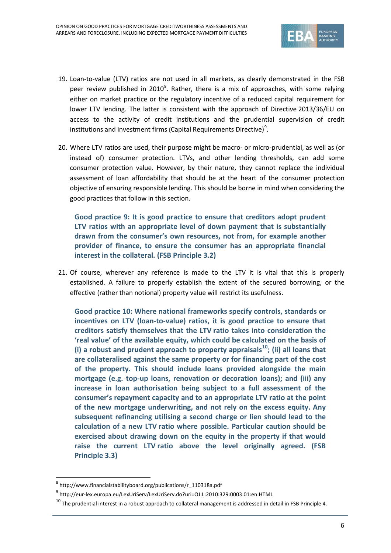

- 19. Loan-to-value (LTV) ratios are not used in all markets, as clearly demonstrated in the FSB peer review published in 2010<sup>[8](#page-5-0)</sup>. Rather, there is a mix of approaches, with some relying either on market practice or the regulatory incentive of a reduced capital requirement for lower LTV lending. The latter is consistent with the approach of Directive 2013/36/EU on access to the activity of credit institutions and the prudential supervision of credit institutions and investment firms **(**Capital Requirements Directive) [9](#page-5-1) .
- 20. Where LTV ratios are used, their purpose might be macro- or micro-prudential, as well as (or instead of) consumer protection. LTVs, and other lending thresholds, can add some consumer protection value. However, by their nature, they cannot replace the individual assessment of loan affordability that should be at the heart of the consumer protection objective of ensuring responsible lending. This should be borne in mind when considering the good practices that follow in this section.

**Good practice 9: It is good practice to ensure that creditors adopt prudent LTV ratios with an appropriate level of down payment that is substantially drawn from the consumer's own resources, not from, for example another provider of finance, to ensure the consumer has an appropriate financial interest in the collateral. (FSB Principle 3.2)**

21. Of course, wherever any reference is made to the LTV it is vital that this is properly established. A failure to properly establish the extent of the secured borrowing, or the effective (rather than notional) property value will restrict its usefulness.

**Good practice 10: Where national frameworks specify controls, standards or incentives on LTV (loan-to-value) ratios, it is good practice to ensure that creditors satisfy themselves that the LTV ratio takes into consideration the 'real value' of the available equity, which could be calculated on the basis of (i) a robust and prudent approach to property appraisals[10](#page-5-2); (ii) all loans that are collateralised against the same property or for financing part of the cost of the property. This should include loans provided alongside the main mortgage (e.g. top-up loans, renovation or decoration loans); and (iii) any increase in loan authorisation being subject to a full assessment of the consumer's repayment capacity and to an appropriate LTV ratio at the point of the new mortgage underwriting, and not rely on the excess equity. Any subsequent refinancing utilising a second charge or lien should lead to the calculation of a new LTV ratio where possible. Particular caution should be exercised about drawing down on the equity in the property if that would raise the current LTV ratio above the level originally agreed. (FSB Principle 3.3)**

 $\overline{a}$ 

<span id="page-5-0"></span><sup>8</sup> http://www.financialstabilityboard.org/publications/r\_110318a.pdf

 $^{9}$  http://eur-lex.europa.eu/LexUriServ/LexUriServ.do?uri=OJ:L:2010:329:0003:01:en:HTML

<span id="page-5-2"></span><span id="page-5-1"></span> $^{10}$  The prudential interest in a robust approach to collateral management is addressed in detail in FSB Principle 4.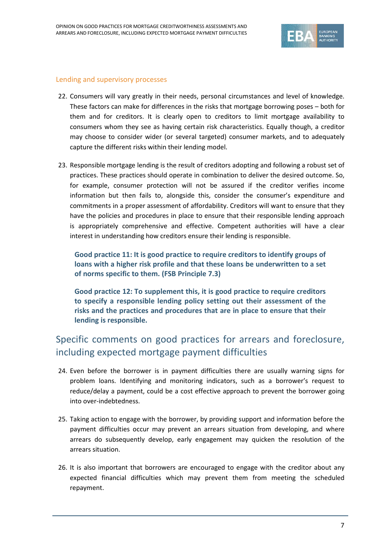

### Lending and supervisory processes

- 22. Consumers will vary greatly in their needs, personal circumstances and level of knowledge. These factors can make for differences in the risks that mortgage borrowing poses – both for them and for creditors. It is clearly open to creditors to limit mortgage availability to consumers whom they see as having certain risk characteristics. Equally though, a creditor may choose to consider wider (or several targeted) consumer markets, and to adequately capture the different risks within their lending model.
- 23. Responsible mortgage lending is the result of creditors adopting and following a robust set of practices. These practices should operate in combination to deliver the desired outcome. So, for example, consumer protection will not be assured if the creditor verifies income information but then fails to, alongside this, consider the consumer's expenditure and commitments in a proper assessment of affordability. Creditors will want to ensure that they have the policies and procedures in place to ensure that their responsible lending approach is appropriately comprehensive and effective. Competent authorities will have a clear interest in understanding how creditors ensure their lending is responsible.

**Good practice 11: It is good practice to require creditors to identify groups of loans with a higher risk profile and that these loans be underwritten to a set of norms specific to them. (FSB Principle 7.3)**

**Good practice 12: To supplement this, it is good practice to require creditors to specify a responsible lending policy setting out their assessment of the risks and the practices and procedures that are in place to ensure that their lending is responsible.**

# Specific comments on good practices for arrears and foreclosure, including expected mortgage payment difficulties

- 24. Even before the borrower is in payment difficulties there are usually warning signs for problem loans. Identifying and monitoring indicators, such as a borrower's request to reduce/delay a payment, could be a cost effective approach to prevent the borrower going into over-indebtedness.
- 25. Taking action to engage with the borrower, by providing support and information before the payment difficulties occur may prevent an arrears situation from developing, and where arrears do subsequently develop, early engagement may quicken the resolution of the arrears situation.
- 26. It is also important that borrowers are encouraged to engage with the creditor about any expected financial difficulties which may prevent them from meeting the scheduled repayment.